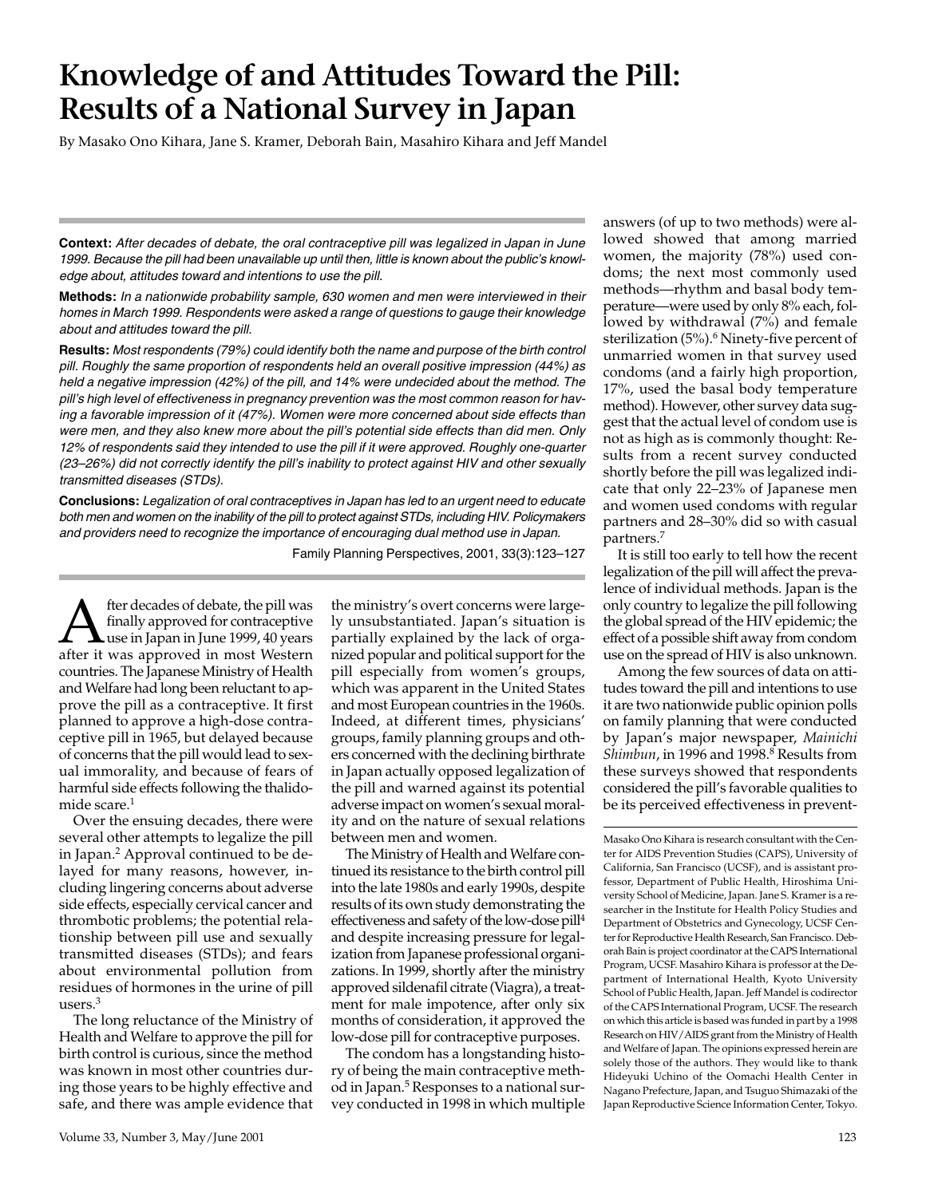# **Knowledge of and Attitudes Toward the Pill: Results of a National Survey in Japan**

By Masako Ono Kihara, Jane S. Kramer, Deborah Bain, Masahiro Kihara and Jeff Mandel

**Context:** *After decades of debate, the oral contraceptive pill was legalized in Japan in June 1999. Because the pill had been unavailable up until then, little is known about the public's knowledge about, attitudes toward and intentions to use the pill.*

**Methods:** *In a nationwide probability sample, 630 women and men were interviewed in their homes in March 1999. Respondents were asked a range of questions to gauge their knowledge about and attitudes toward the pill.*

**Results:** *Most respondents (79%) could identify both the name and purpose of the birth control pill. Roughly the same proportion of respondents held an overall positive impression (44%) as held a negative impression (42%) of the pill, and 14% were undecided about the method. The pill's high level of effectiveness in pregnancy prevention was the most common reason for having a favorable impression of it (47%). Women were more concerned about side effects than were men, and they also knew more about the pill's potential side effects than did men. Only 12% of respondents said they intended to use the pill if it were approved. Roughly one-quarter (23–26%) did not correctly identify the pill's inability to protect against HIV and other sexually transmitted diseases (STDs).*

**Conclusions:** *Legalization of oral contraceptives in Japan has led to an urgent need to educate both men and women on the inability of the pill to protect against STDs, including HIV. Policymakers and providers need to recognize the importance of encouraging dual method use in Japan.*

Family Planning Perspectives, 2001, 33(3):123–127

fter decades of debate, the pill was<br>finally approved for contraceptive<br>after it was approved in most Western finally approved for contraceptive use in Japan in June 1999, 40 years after it was approved in most Western countries. The Japanese Ministry of Health and Welfare had long been reluctant to approve the pill as a contraceptive. It first planned to approve a high-dose contraceptive pill in 1965, but delayed because of concerns that the pill would lead to sexual immorality, and because of fears of harmful side effects following the thalidomide scare.<sup>1</sup>

Over the ensuing decades, there were several other attempts to legalize the pill in Japan.2 Approval continued to be delayed for many reasons, however, including lingering concerns about adverse side effects, especially cervical cancer and thrombotic problems; the potential relationship between pill use and sexually transmitted diseases (STDs); and fears about environmental pollution from residues of hormones in the urine of pill users.3

The long reluctance of the Ministry of Health and Welfare to approve the pill for birth control is curious, since the method was known in most other countries during those years to be highly effective and safe, and there was ample evidence that

the ministry's overt concerns were largely unsubstantiated. Japan's situation is partially explained by the lack of organized popular and political support for the pill especially from women's groups, which was apparent in the United States and most European countries in the 1960s. Indeed, at different times, physicians' groups, family planning groups and others concerned with the declining birthrate in Japan actually opposed legalization of the pill and warned against its potential adverse impact on women's sexual morality and on the nature of sexual relations between men and women.

The Ministry of Health and Welfare continued its resistance to the birth control pill into the late 1980s and early 1990s, despite results of its own study demonstrating the effectiveness and safety of the low-dose pill4 and despite increasing pressure for legalization from Japanese professional organizations. In 1999, shortly after the ministry approved sildenafil citrate (Viagra), a treatment for male impotence, after only six months of consideration, it approved the low-dose pill for contraceptive purposes.

The condom has a longstanding history of being the main contraceptive method in Japan.<sup>5</sup> Responses to a national survey conducted in 1998 in which multiple

answers (of up to two methods) were allowed showed that among married women, the majority (78%) used condoms; the next most commonly used methods—rhythm and basal body temperature—were used by only 8% each, followed by withdrawal (7%) and female sterilization (5%).<sup>6</sup> Ninety-five percent of unmarried women in that survey used condoms (and a fairly high proportion, 17%, used the basal body temperature method). However, other survey data suggest that the actual level of condom use is not as high as is commonly thought: Results from a recent survey conducted shortly before the pill was legalized indicate that only 22–23% of Japanese men and women used condoms with regular partners and 28–30% did so with casual partners.7

It is still too early to tell how the recent legalization of the pill will affect the prevalence of individual methods. Japan is the only country to legalize the pill following the global spread of the HIV epidemic; the effect of a possible shift away from condom use on the spread of HIV is also unknown.

Among the few sources of data on attitudes toward the pill and intentions to use it are two nationwide public opinion polls on family planning that were conducted by Japan's major newspaper, *Mainichi Shimbun*, in 1996 and 1998.8 Results from these surveys showed that respondents considered the pill's favorable qualities to be its perceived effectiveness in prevent-

Masako Ono Kihara is research consultant with the Center for AIDS Prevention Studies (CAPS), University of California, San Francisco (UCSF), and is assistant professor, Department of Public Health, Hiroshima University School of Medicine, Japan. Jane S. Kramer is a researcher in the Institute for Health Policy Studies and Department of Obstetrics and Gynecology, UCSF Center for Reproductive Health Research, San Francisco. Deborah Bain is project coordinator at the CAPS International Program, UCSF. Masahiro Kihara is professor at the Department of International Health, Kyoto University School of Public Health, Japan. Jeff Mandel is codirector of the CAPS International Program, UCSF. The research on which this article is based was funded in part by a 1998 Research on HIV/AIDS grant from the Ministry of Health and Welfare of Japan. The opinions expressed herein are solely those of the authors. They would like to thank Hideyuki Uchino of the Oomachi Health Center in Nagano Prefecture, Japan, and Tsuguo Shimazaki of the Japan Reproductive Science Information Center, Tokyo.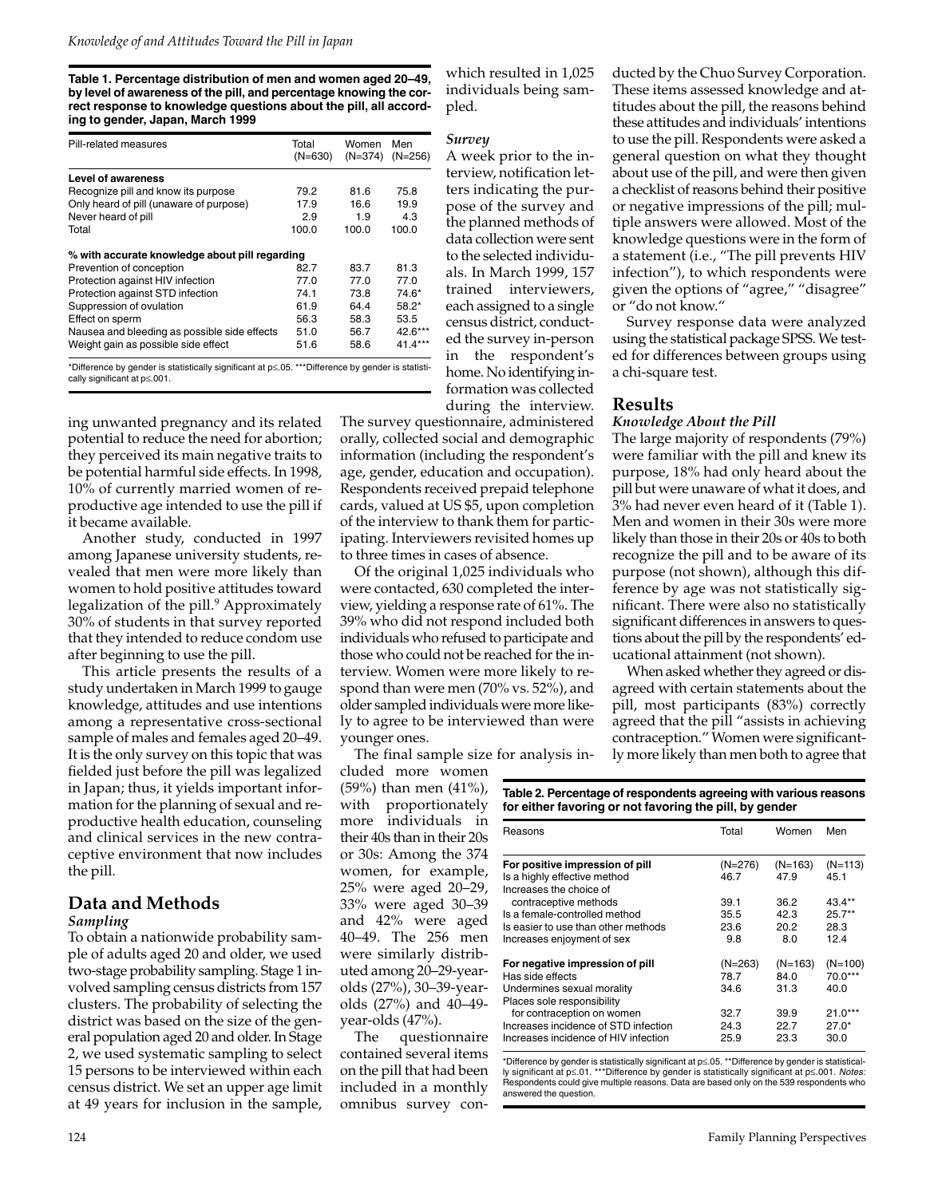**Table 1. Percentage distribution of men and women aged 20–49, by level of awareness of the pill, and percentage knowing the correct response to knowledge questions about the pill, all according to gender, Japan, March 1999**

| Pill-related measures                          | Total<br>$(N=630)$ | Women<br>$(N=374)$ | Men<br>$(N=256)$ |
|------------------------------------------------|--------------------|--------------------|------------------|
| Level of awareness                             |                    |                    |                  |
| Recognize pill and know its purpose            | 79.2               | 81.6               | 75.8             |
| Only heard of pill (unaware of purpose)        | 17.9               | 16.6               | 19.9             |
| Never heard of pill                            | 2.9                | 1.9                | 4.3              |
| Total                                          | 100.0              | 100.0              | 100.0            |
| % with accurate knowledge about pill regarding |                    |                    |                  |
| Prevention of conception                       | 82.7               | 83.7               | 81.3             |
| Protection against HIV infection               | 77.0               | 77.0               | 77.0             |
| Protection against STD infection               | 74.1               | 73.8               | 74.6*            |
| Suppression of ovulation                       | 61.9               | 64.4               | $58.2*$          |
| Effect on sperm                                | 56.3               | 58.3               | 53.5             |
| Nausea and bleeding as possible side effects   | 51.0               | 56.7               | 42.6***          |
| Weight gain as possible side effect            | 51.6               | 58.6               | $41.4***$        |

cally significant at p≤.001.

ing unwanted pregnancy and its related potential to reduce the need for abortion; they perceived its main negative traits to be potential harmful side effects. In 1998, 10% of currently married women of reproductive age intended to use the pill if it became available.

Another study, conducted in 1997 among Japanese university students, revealed that men were more likely than women to hold positive attitudes toward legalization of the pill.<sup>9</sup> Approximately 30% of students in that survey reported that they intended to reduce condom use after beginning to use the pill.

This article presents the results of a study undertaken in March 1999 to gauge knowledge, attitudes and use intentions among a representative cross-sectional sample of males and females aged 20–49. It is the only survey on this topic that was fielded just before the pill was legalized in Japan; thus, it yields important information for the planning of sexual and reproductive health education, counseling and clinical services in the new contraceptive environment that now includes the pill.

# **Data and Methods**

### *Sampling*

To obtain a nationwide probability sample of adults aged 20 and older, we used two-stage probability sampling. Stage 1 involved sampling census districts from 157 clusters. The probability of selecting the district was based on the size of the general population aged 20 and older. In Stage 2, we used systematic sampling to select 15 persons to be interviewed within each census district. We set an upper age limit at 49 years for inclusion in the sample,

which resulted in 1,025 individuals being sampled.

# *Survey*

A week prior to the interview, notification letters indicating the purpose of the survey and the planned methods of data collection were sent to the selected individuals. In March 1999, 157 trained interviewers, each assigned to a single census district, conducted the survey in-person in the respondent's home. No identifying information was collected during the interview.

The survey questionnaire, administered orally, collected social and demographic information (including the respondent's age, gender, education and occupation). Respondents received prepaid telephone cards, valued at US \$5, upon completion of the interview to thank them for participating. Interviewers revisited homes up to three times in cases of absence.

Of the original 1,025 individuals who were contacted, 630 completed the interview, yielding a response rate of 61%. The 39% who did not respond included both individuals who refused to participate and those who could not be reached for the interview. Women were more likely to respond than were men (70% vs. 52%), and older sampled individuals were more likely to agree to be interviewed than were younger ones.

The final sample size for analysis in-

cluded more women (59%) than men (41%), with proportionately more individuals in their 40s than in their 20s or 30s: Among the 374 women, for example, 25% were aged 20–29, 33% were aged 30–39 and 42% were aged 40–49. The 256 men were similarly distributed among 20–29-yearolds (27%), 30–39-yearolds (27%) and 40–49 year-olds (47%).

The questionnaire contained several items on the pill that had been included in a monthly omnibus survey con-

ducted by the Chuo Survey Corporation. These items assessed knowledge and attitudes about the pill, the reasons behind these attitudes and individuals' intentions to use the pill. Respondents were asked a general question on what they thought about use of the pill, and were then given a checklist of reasons behind their positive or negative impressions of the pill; multiple answers were allowed. Most of the knowledge questions were in the form of a statement (i.e., "The pill prevents HIV infection"), to which respondents were given the options of "agree," "disagree" or "do not know."

Survey response data were analyzed using the statistical package SPSS. We tested for differences between groups using a chi-square test.

# **Results**

### *Knowledge About the Pill*

The large majority of respondents (79%) were familiar with the pill and knew its purpose, 18% had only heard about the pill but were unaware of what it does, and 3% had never even heard of it (Table 1). Men and women in their 30s were more likely than those in their 20s or 40s to both recognize the pill and to be aware of its purpose (not shown), although this difference by age was not statistically significant. There were also no statistically significant differences in answers to questions about the pill by the respondents' educational attainment (not shown).

When asked whether they agreed or disagreed with certain statements about the pill, most participants (83%) correctly agreed that the pill "assists in achieving contraception." Women were significantly more likely than men both to agree that

**Table 2. Percentage of respondents agreeing with various reasons for either favoring or not favoring the pill, by gender**

| Reasons                              | Total     | Women     | Men       |
|--------------------------------------|-----------|-----------|-----------|
| For positive impression of pill      | $(N=276)$ | $(N=163)$ | $(N=113)$ |
| Is a highly effective method         | 46.7      | 47.9      | 45.1      |
| Increases the choice of              |           |           |           |
| contraceptive methods                | 39.1      | 36.2      | 43.4**    |
| Is a female-controlled method        | 35.5      | 42.3      | $25.7***$ |
| Is easier to use than other methods  | 23.6      | 20.2      | 28.3      |
| Increases enjoyment of sex           | 9.8       | 8.0       | 12.4      |
| For negative impression of pill      | $(N=263)$ | $(N=163)$ | $(N=100)$ |
| Has side effects                     | 78.7      | 84.0      | 70.0***   |
| Undermines sexual morality           | 34.6      | 31.3      | 40.0      |
| Places sole responsibility           |           |           |           |
| for contraception on women           | 32.7      | 39.9      | $21.0***$ |
| Increases incidence of STD infection | 24.3      | 22.7      | $27.0*$   |
| Increases incidence of HIV infection | 25.9      | 23.3      | 30.0      |

\*Difference by gender is statistically significant at p≤.05. \*\*Difference by gender is statistically significant at p≤.01. \*\*\*Difference by gender is statistically significant at p≤.001. *Notes:*  Respondents could give multiple reasons. Data are based only on the 539 respondents who answered the question.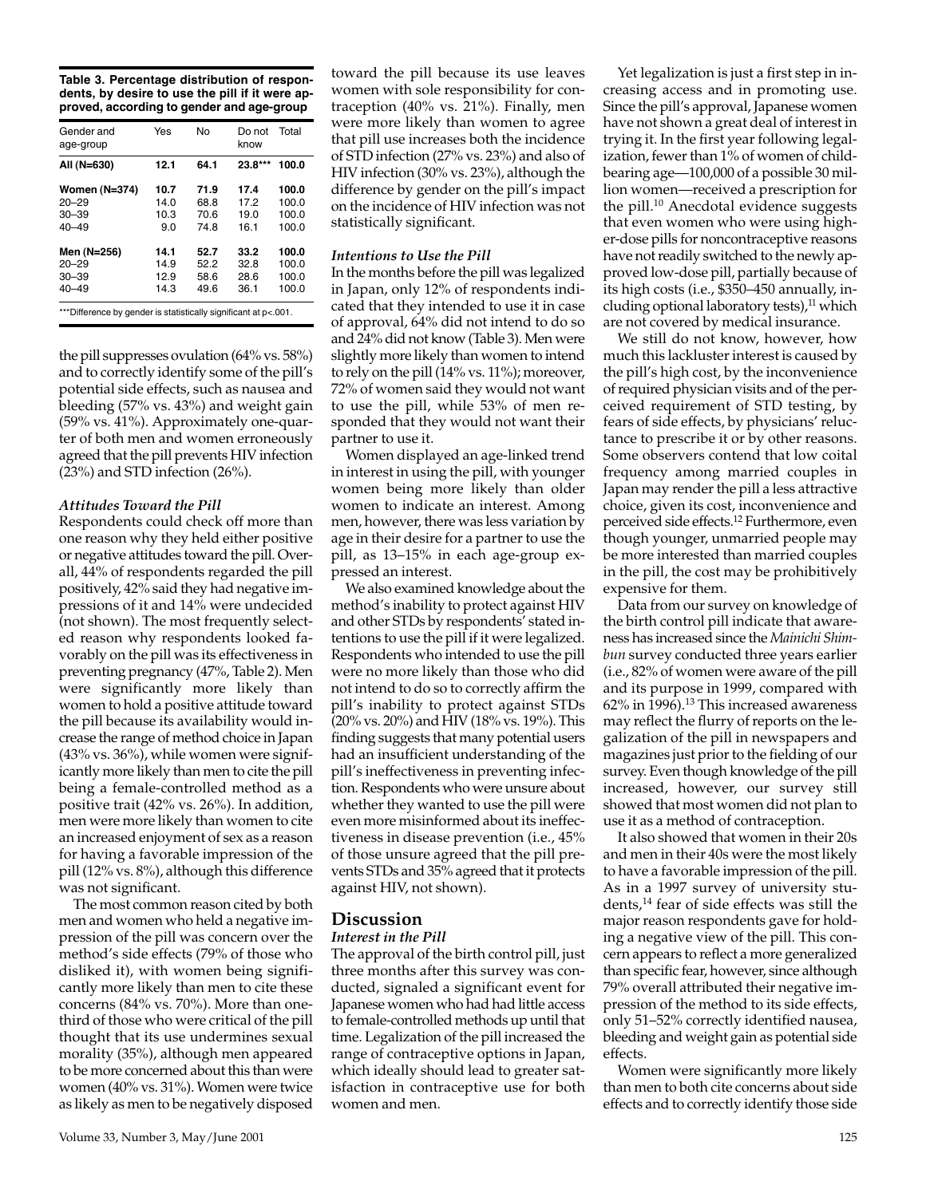**Table 3. Percentage distribution of respondents, by desire to use the pill if it were approved, according to gender and age-group**

| Gender and<br>age-group | Yes  | No   | Do not<br>know | Total |
|-------------------------|------|------|----------------|-------|
| All (N=630)             | 12.1 | 64.1 | $23.8***$      | 100.0 |
| Women (N=374)           | 10.7 | 71.9 | 17.4           | 100.0 |
| $20 - 29$               | 14.0 | 68.8 | 17.2           | 100.0 |
| $30 - 39$               | 10.3 | 70.6 | 19.0           | 100.0 |
| $40 - 49$               | 9.0  | 74.8 | 16.1           | 100.0 |
| Men (N=256)             | 14.1 | 52.7 | 33.2           | 100.0 |
| $20 - 29$               | 14.9 | 52.2 | 32.8           | 100.0 |
| $30 - 39$               | 12.9 | 58.6 | 28.6           | 100.0 |
| $40 - 49$               | 14.3 | 49.6 | 36.1           | 100.0 |

\*Difference by gender is statistically significant at p<.001.

the pill suppresses ovulation (64% vs. 58%) and to correctly identify some of the pill's potential side effects, such as nausea and bleeding (57% vs. 43%) and weight gain (59% vs. 41%). Approximately one-quarter of both men and women erroneously agreed that the pill prevents HIV infection (23%) and STD infection (26%).

## *Attitudes Toward the Pill*

Respondents could check off more than one reason why they held either positive or negative attitudes toward the pill. Overall, 44% of respondents regarded the pill positively, 42% said they had negative impressions of it and 14% were undecided (not shown). The most frequently selected reason why respondents looked favorably on the pill was its effectiveness in preventing pregnancy (47%, Table 2). Men were significantly more likely than women to hold a positive attitude toward the pill because its availability would increase the range of method choice in Japan (43% vs. 36%), while women were significantly more likely than men to cite the pill being a female-controlled method as a positive trait (42% vs. 26%). In addition, men were more likely than women to cite an increased enjoyment of sex as a reason for having a favorable impression of the pill (12% vs. 8%), although this difference was not significant.

The most common reason cited by both men and women who held a negative impression of the pill was concern over the method's side effects (79% of those who disliked it), with women being significantly more likely than men to cite these concerns (84% vs. 70%). More than onethird of those who were critical of the pill thought that its use undermines sexual morality (35%), although men appeared to be more concerned about this than were women (40% vs. 31%). Women were twice as likely as men to be negatively disposed

toward the pill because its use leaves women with sole responsibility for contraception (40% vs. 21%). Finally, men were more likely than women to agree that pill use increases both the incidence of STD infection (27% vs. 23%) and also of HIV infection (30% vs. 23%), although the difference by gender on the pill's impact on the incidence of HIV infection was not statistically significant.

## *Intentions to Use the Pill*

In the months before the pill was legalized in Japan, only 12% of respondents indicated that they intended to use it in case of approval, 64% did not intend to do so and 24% did not know (Table 3). Men were slightly more likely than women to intend to rely on the pill (14% vs. 11%); moreover, 72% of women said they would not want to use the pill, while 53% of men responded that they would not want their partner to use it.

Women displayed an age-linked trend in interest in using the pill, with younger women being more likely than older women to indicate an interest. Among men, however, there was less variation by age in their desire for a partner to use the pill, as 13–15% in each age-group expressed an interest.

We also examined knowledge about the method's inability to protect against HIV and other STDs by respondents' stated intentions to use the pill if it were legalized. Respondents who intended to use the pill were no more likely than those who did not intend to do so to correctly affirm the pill's inability to protect against STDs (20% vs. 20%) and HIV (18% vs. 19%). This finding suggests that many potential users had an insufficient understanding of the pill's ineffectiveness in preventing infection. Respondents who were unsure about whether they wanted to use the pill were even more misinformed about its ineffectiveness in disease prevention (i.e., 45% of those unsure agreed that the pill prevents STDs and 35% agreed that it protects against HIV, not shown).

## **Discussion** *Interest in the Pill*

The approval of the birth control pill, just three months after this survey was conducted, signaled a significant event for Japanese women who had had little access to female-controlled methods up until that time. Legalization of the pill increased the range of contraceptive options in Japan, which ideally should lead to greater satisfaction in contraceptive use for both women and men.

Yet legalization is just a first step in increasing access and in promoting use. Since the pill's approval, Japanese women have not shown a great deal of interest in trying it. In the first year following legalization, fewer than 1% of women of childbearing age—100,000 of a possible 30 million women—received a prescription for the pill.<sup>10</sup> Anecdotal evidence suggests that even women who were using higher-dose pills for noncontraceptive reasons have not readily switched to the newly approved low-dose pill, partially because of its high costs (i.e., \$350–450 annually, including optional laboratory tests), $11$  which are not covered by medical insurance.

We still do not know, however, how much this lackluster interest is caused by the pill's high cost, by the inconvenience of required physician visits and of the perceived requirement of STD testing, by fears of side effects, by physicians' reluctance to prescribe it or by other reasons. Some observers contend that low coital frequency among married couples in Japan may render the pill a less attractive choice, given its cost, inconvenience and perceived side effects.12 Furthermore, even though younger, unmarried people may be more interested than married couples in the pill, the cost may be prohibitively expensive for them.

Data from our survey on knowledge of the birth control pill indicate that awareness has increased since the *Mainichi Shimbun* survey conducted three years earlier (i.e., 82% of women were aware of the pill and its purpose in 1999, compared with 62% in 1996).13 This increased awareness may reflect the flurry of reports on the legalization of the pill in newspapers and magazines just prior to the fielding of our survey. Even though knowledge of the pill increased, however, our survey still showed that most women did not plan to use it as a method of contraception.

It also showed that women in their 20s and men in their 40s were the most likely to have a favorable impression of the pill. As in a 1997 survey of university students,14 fear of side effects was still the major reason respondents gave for holding a negative view of the pill. This concern appears to reflect a more generalized than specific fear, however, since although 79% overall attributed their negative impression of the method to its side effects, only 51–52% correctly identified nausea, bleeding and weight gain as potential side effects.

Women were significantly more likely than men to both cite concerns about side effects and to correctly identify those side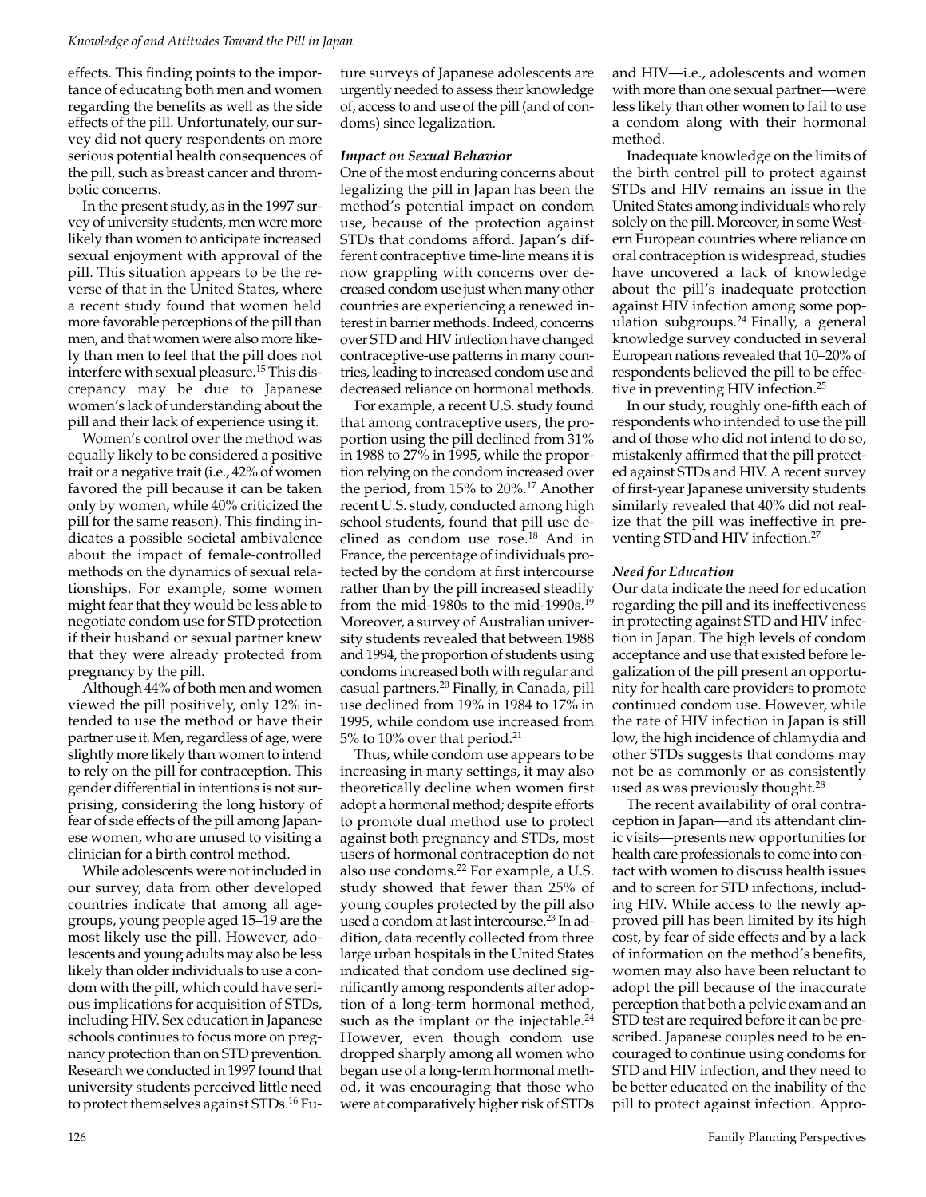#### *Knowledge of and Attitudes Toward the Pill in Japan*

effects. This finding points to the importance of educating both men and women regarding the benefits as well as the side effects of the pill. Unfortunately, our survey did not query respondents on more serious potential health consequences of the pill, such as breast cancer and thrombotic concerns.

In the present study, as in the 1997 survey of university students, men were more likely than women to anticipate increased sexual enjoyment with approval of the pill. This situation appears to be the reverse of that in the United States, where a recent study found that women held more favorable perceptions of the pill than men, and that women were also more likely than men to feel that the pill does not interfere with sexual pleasure.15 This discrepancy may be due to Japanese women's lack of understanding about the pill and their lack of experience using it.

Women's control over the method was equally likely to be considered a positive trait or a negative trait (i.e., 42% of women favored the pill because it can be taken only by women, while 40% criticized the pill for the same reason). This finding indicates a possible societal ambivalence about the impact of female-controlled methods on the dynamics of sexual relationships. For example, some women might fear that they would be less able to negotiate condom use for STD protection if their husband or sexual partner knew that they were already protected from pregnancy by the pill.

Although 44% of both men and women viewed the pill positively, only 12% intended to use the method or have their partner use it. Men, regardless of age, were slightly more likely than women to intend to rely on the pill for contraception. This gender differential in intentions is not surprising, considering the long history of fear of side effects of the pill among Japanese women, who are unused to visiting a clinician for a birth control method.

While adolescents were not included in our survey, data from other developed countries indicate that among all agegroups, young people aged 15–19 are the most likely use the pill. However, adolescents and young adults may also be less likely than older individuals to use a condom with the pill, which could have serious implications for acquisition of STDs, including HIV. Sex education in Japanese schools continues to focus more on pregnancy protection than on STD prevention. Research we conducted in 1997 found that university students perceived little need to protect themselves against STDs.<sup>16</sup> Future surveys of Japanese adolescents are urgently needed to assess their knowledge of, access to and use of the pill (and of condoms) since legalization.

#### *Impact on Sexual Behavior*

One of the most enduring concerns about legalizing the pill in Japan has been the method's potential impact on condom use, because of the protection against STDs that condoms afford. Japan's different contraceptive time-line means it is now grappling with concerns over decreased condom use just when many other countries are experiencing a renewed interest in barrier methods. Indeed, concerns over STD and HIV infection have changed contraceptive-use patterns in many countries, leading to increased condom use and decreased reliance on hormonal methods.

For example, a recent U.S. study found that among contraceptive users, the proportion using the pill declined from 31% in 1988 to 27% in 1995, while the proportion relying on the condom increased over the period, from 15% to 20%.17 Another recent U.S. study, conducted among high school students, found that pill use declined as condom use rose.18 And in France, the percentage of individuals protected by the condom at first intercourse rather than by the pill increased steadily from the mid-1980s to the mid-1990s.<sup>19</sup> Moreover, a survey of Australian university students revealed that between 1988 and 1994, the proportion of students using condoms increased both with regular and casual partners.20 Finally, in Canada, pill use declined from 19% in 1984 to 17% in 1995, while condom use increased from 5% to 10% over that period.21

Thus, while condom use appears to be increasing in many settings, it may also theoretically decline when women first adopt a hormonal method; despite efforts to promote dual method use to protect against both pregnancy and STDs, most users of hormonal contraception do not also use condoms.22 For example, a U.S. study showed that fewer than 25% of young couples protected by the pill also used a condom at last intercourse.<sup>23</sup> In addition, data recently collected from three large urban hospitals in the United States indicated that condom use declined significantly among respondents after adoption of a long-term hormonal method, such as the implant or the injectable.<sup>24</sup> However, even though condom use dropped sharply among all women who began use of a long-term hormonal method, it was encouraging that those who were at comparatively higher risk of STDs

and HIV—i.e., adolescents and women with more than one sexual partner—were less likely than other women to fail to use a condom along with their hormonal method.

Inadequate knowledge on the limits of the birth control pill to protect against STDs and HIV remains an issue in the United States among individuals who rely solely on the pill. Moreover, in some Western European countries where reliance on oral contraception is widespread, studies have uncovered a lack of knowledge about the pill's inadequate protection against HIV infection among some population subgroups.24 Finally, a general knowledge survey conducted in several European nations revealed that 10–20% of respondents believed the pill to be effective in preventing HIV infection.25

In our study, roughly one-fifth each of respondents who intended to use the pill and of those who did not intend to do so, mistakenly affirmed that the pill protected against STDs and HIV. A recent survey of first-year Japanese university students similarly revealed that 40% did not realize that the pill was ineffective in preventing STD and HIV infection.<sup>27</sup>

#### *Need for Education*

Our data indicate the need for education regarding the pill and its ineffectiveness in protecting against STD and HIV infection in Japan. The high levels of condom acceptance and use that existed before legalization of the pill present an opportunity for health care providers to promote continued condom use. However, while the rate of HIV infection in Japan is still low, the high incidence of chlamydia and other STDs suggests that condoms may not be as commonly or as consistently used as was previously thought.<sup>28</sup>

The recent availability of oral contraception in Japan—and its attendant clinic visits—presents new opportunities for health care professionals to come into contact with women to discuss health issues and to screen for STD infections, including HIV. While access to the newly approved pill has been limited by its high cost, by fear of side effects and by a lack of information on the method's benefits, women may also have been reluctant to adopt the pill because of the inaccurate perception that both a pelvic exam and an STD test are required before it can be prescribed. Japanese couples need to be encouraged to continue using condoms for STD and HIV infection, and they need to be better educated on the inability of the pill to protect against infection. Appro